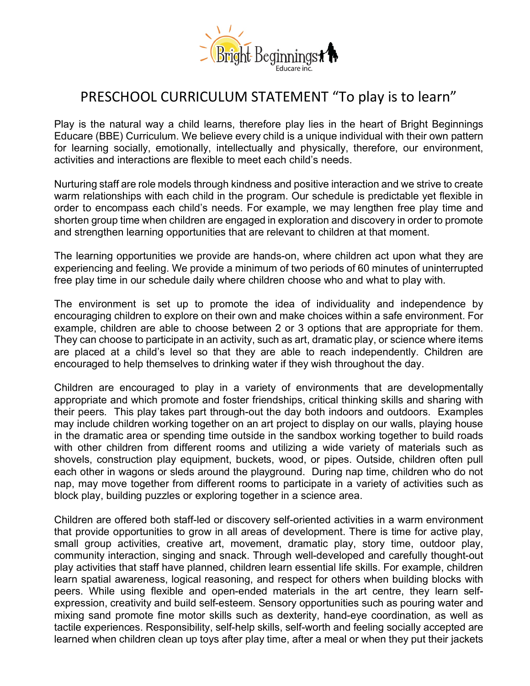

## PRESCHOOL CURRICULUM STATEMENT "To play is to learn"

Play is the natural way a child learns, therefore play lies in the heart of Bright Beginnings Educare (BBE) Curriculum. We believe every child is a unique individual with their own pattern for learning socially, emotionally, intellectually and physically, therefore, our environment, activities and interactions are flexible to meet each child's needs.

Nurturing staff are role models through kindness and positive interaction and we strive to create warm relationships with each child in the program. Our schedule is predictable yet flexible in order to encompass each child's needs. For example, we may lengthen free play time and shorten group time when children are engaged in exploration and discovery in order to promote and strengthen learning opportunities that are relevant to children at that moment.

The learning opportunities we provide are hands-on, where children act upon what they are experiencing and feeling. We provide a minimum of two periods of 60 minutes of uninterrupted free play time in our schedule daily where children choose who and what to play with.

The environment is set up to promote the idea of individuality and independence by encouraging children to explore on their own and make choices within a safe environment. For example, children are able to choose between 2 or 3 options that are appropriate for them. They can choose to participate in an activity, such as art, dramatic play, or science where items are placed at a child's level so that they are able to reach independently. Children are encouraged to help themselves to drinking water if they wish throughout the day.

Children are encouraged to play in a variety of environments that are developmentally appropriate and which promote and foster friendships, critical thinking skills and sharing with their peers. This play takes part through-out the day both indoors and outdoors. Examples may include children working together on an art project to display on our walls, playing house in the dramatic area or spending time outside in the sandbox working together to build roads with other children from different rooms and utilizing a wide variety of materials such as shovels, construction play equipment, buckets, wood, or pipes. Outside, children often pull each other in wagons or sleds around the playground. During nap time, children who do not nap, may move together from different rooms to participate in a variety of activities such as block play, building puzzles or exploring together in a science area.

Children are offered both staff-led or discovery self-oriented activities in a warm environment that provide opportunities to grow in all areas of development. There is time for active play, small group activities, creative art, movement, dramatic play, story time, outdoor play, community interaction, singing and snack. Through well-developed and carefully thought-out play activities that staff have planned, children learn essential life skills. For example, children learn spatial awareness, logical reasoning, and respect for others when building blocks with peers. While using flexible and open-ended materials in the art centre, they learn selfexpression, creativity and build self-esteem. Sensory opportunities such as pouring water and mixing sand promote fine motor skills such as dexterity, hand-eye coordination, as well as tactile experiences. Responsibility, self-help skills, self-worth and feeling socially accepted are learned when children clean up toys after play time, after a meal or when they put their jackets